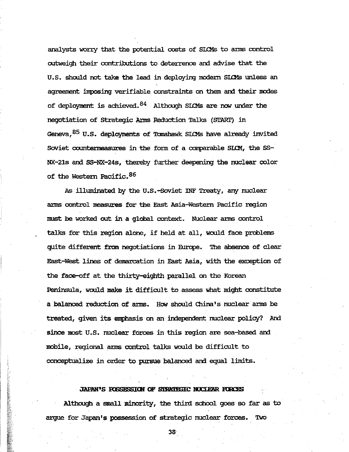analysts worry that the potential costs of SLOMs to arms control outweigh their contributions to deterrence and advise that the U.S. should not take the lead in deploying modern SLOMs unless an agreement imposing verifiable constraints on them and their modes of deployment is achieved.  $84$  Although SICMs are now under the negotiation of Strategic Arms Reduction Talks (START) in Geneva,<sup>85</sup> U.S. deployments of Tomahawk SIOMs have already invited Soviet countermeasures in the form of a comparable SLOM, the SS-NX-21s and SS-NX-24s, thereby further deepening the nuclear color of the Western Pacific.<sup>86</sup>

As illuminated by the U.S.-Soviet INF Treaty, any nuclear arms control measures for the East Asia-Western Pacific region must be worked out in a global context. Nuclear arms control talks for this region alone, if held at all, would face problems quite different from negotiations in Europe. The absence of clear East-West lines of demarcation in East Asia, with the exception of the face-off at the thirty-eighth parallel on the Korean Peninsula, would make it difficult to assess what might constitute a balanced reduction of arms. How should China's nuclear arms be treated, given its emphasis on an independent nuclear policy? And since most U.S. nuclear forces in this region are sea-based and mobile, regional arms control talks would be difficult to conceptualize in order to pursue balanced and equal limits.

### JAPAN'S POSSESSION OF STRATEGIC NUCLEAR FORCES

Although a small minority, the third school goes so far as to argue for Japan's possession of strategic nuclear forces.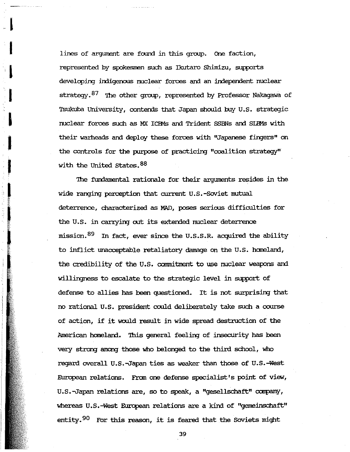lines of argument are found in this group. One faction, represented by spokesmen such as Ikutaro Shimizu, supports developing indigenous nuclear forces and an independent nuclear strategy.<sup>87</sup> The other group, represented by Professor Nakagawa of Tsukuba University, contends that Japan should buy U.S. strategic nuclear forces such as MX ICBMs and Trident SSBNs and SIBMs with their warheads and deploy these forces with "Japanese fingers" on the controls for the purpose of practicing "coalition strategy" with the United States. 88

The fundamental rationale for their arguments resides in the wide ranging perception that current U.S.-Soviet mutual deterrence, characterized as MAD, poses serious difficulties for the U.S. in carrying out its extended nuclear deterrence mission. <sup>89</sup> In fact, ever since the U.S.S.R. acquired the ability to inflict unacceptable retaliatory damage on the U.S. homeland, the credibility of the U.S. commitment to use nuclear weapons and willingness to escalate to the strategic level in support of defense to allies has been questioned. It is not surprising that no rational U.S. president could deliberately take such a course of action, if it would result in wide spread destruction of the American homeland. This general feeling of insecurity has been very strong among those who belonged to the third school, who regard overall U.S.-Japan ties as weaker than those of U.S.-West European relations. From one defense specialist's point of view, U.S.-Japan relations are, so to speak, a "gesellschaft" company, whereas U.S.-West European relations are a kind of "gemeinschaft" entity.<sup>90</sup> For this reason, it is feared that the Soviets might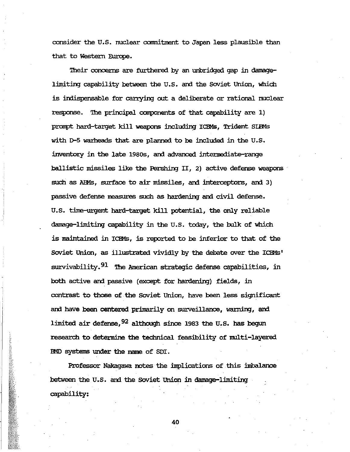consider the U.S. nuclear commitment to Japan less plausible than that to Western Europe.

Their concerns are furthered by an unbridged gap in damagelimiting capability between the U.S. and the Soviet Union, which is indispensable for carrying out a deliberate or rational nuclear response. The principal components of that capability are 1) prompt hard-target kill weapons including ICBMs, Trident SIBMs with D-5 warheads that are planned to be included in the U.S. inventory in the late 1980s, and advanced intermediate-range ballistic missiles like the Pershing II, 2) active defense weapons such as AIMs, surface to air missiles, and interceptors, am 3) passive defense measures such as hardening and civil defense. U.S. time-urgent hard-target kill potential, the only reliable damage-limiting capability in the U.S. today, the bulk of which is maintained in ICBMs, is reported to be inferior to that of the Soviet Union, as illustrated vividly by the debate over the ICBMs' survivability.<sup>91</sup> The American strategic defense capabilities, in both active and passive (except for hardening) fields, in contrast to those of the Soviet Union, have been less significant and have been centered primarily on surveillance, warning, and limited air defense,  $92$  although since 1983 the U.S. has begun research to determine the technical feasibility of multi-layered IMD systems under the name of SDI.

Professor Nakagawa notes the implications of this imbalance between the U.S. and the Soviet Union in damage-limiting capability:

**SEPTEMBER 2007**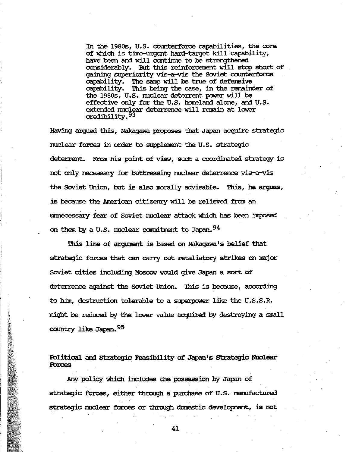In the 19805, U.S. counterforce capabilities, the core of which is time-urgent hard-target kill capability, have been and will continue In the 1980s, U.S. counterforce capabilities, the core<br>of which is time-urgent hard-target kill capability,<br>have been and will continue to be strengthened<br>considerably. But this reinforcement will stop short of gaining superiority vis-a-vis the Soviet counterforce capability. The same will be true of defensive capability. This being the case, in the remainder of the 1980s, U.S. nuclear deterrent power will be effective only for the U.S. homeland alone, and U.S. extended nuclear deterrence will remain at lower credibility.<sup>93</sup>

Having arqued this, Nakagawa proposes that Japan acquire strategic nuclear forces in order to supplement the U. S. strategic deterrent. From his point of view, such a coordinated strategy is not only necessary for buttressing nuclear deterrence vis-a-vis the Soviet Union, but is also morally advisable. This, he argues, is because the American citizenty will be relieved from an unnecessary fear of Soviet nuclear attack which has been imposed on them by a U.S. nuclear commitment to Japan. 94

This line of argument is based on Nakagawa's belief that strategio forces that can carry out retaliatory strikes on major soviet cities including Moscow would give Japan a sort of deterrence against the Soviet Union. '!his is because, according to him, destruction tolerable to a superpower like the U.S.S.R. might be reduced by the lower value acquired by destroying a small country like Japan. 95

Rllitical am strategic Feasibility of Japan's strategic NUclear **Fbtces .** 

Any policy which includes the possession by Japan of strategic forces, either through a purchase of U.S. manufactured strategic nuclear forces or through domestic development, is not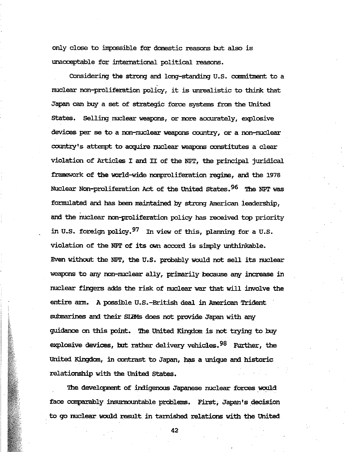only close to impossible for domestic reasons but also is unacceptable for international political reasons.

Considering the strong and long-standing U.S. commitment to a nuclear non-proliferation policy, it is unrealistic to think that Japan can buy a set of strategic force systems from the United states. Selling nuclear weapons, or more accurately, explosive devices per se to a non-nuclear weapons country, or a non-nuclear country's attenpt to acquire nuclear weapons constitutes a clear violation of Articles I and II of the NPT, the principal juridical framework of the world-wide nonproliferation regime, and the 1978 Nuclear Non-proliferation Act of the United States. 96 The NPT was formulated and has been maintained by strong American leadership, and the nuclear non-proliferation policy has received top priority in U.S. foreign policy.97 In view of this, planning for a U.S. violation of the NPT of its own accord is simply unthinkable. Even without the NPT, the U.S. probably would not sell its nuclear weapons to any non-nuclear ally, primarily because any increase in nuclear fingers adds the risk of nuclear war that will involve the entire ann. A possilile U.S.-British deal in American Trident submarines and their SIBMs does not provide Japan with any guidance on this point. '!he United Kingdom is not trying to buy explosive devices, but rather delivery vehicles. <sup>98</sup> Further, the United Kingdom, in contrast to Japan, has a unique and historic relationship with the United states.

The development of indigenous Japanese nuclear forces would face comparably insurmountable problems. First, Japan's decision . to go nuclear. would result in tarnished relations with the United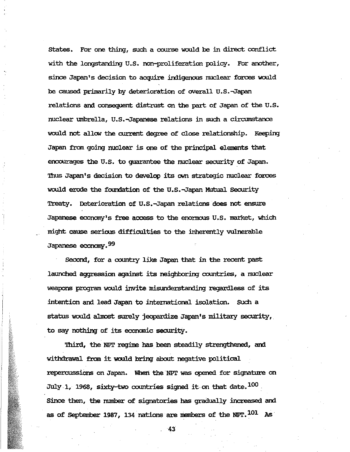States. For one thing, such a course would be in direct conflict with the longstanding U.S. non-proliferation policy. For another, since Japan's decision to acquire indigenous nuclear forces would be caused primarily by deterioration of overall U.S.-Japan relations and consequent distrust on the part of Japan of the U.S. nuclear umbrella, U.S.-Japanese relations in such a circumstance would not allow the current degree of close relationship. Keeping Japan from going nuclear is one of the principal elements that encourages the U.S. to quarantee the nuclear security of Japan. Thus Japan's decision to develop its own strategic nuclear forces would erode the foundation of the U.S.-Japan Mutual Security Treaty. Deterioration of U.S.-Japan relations does not ensure Japanese economy's free access to the enormous U.S. market, which might cause serious difficulties to the inherently vulnerable Japanese economy.<sup>99</sup>

Second, for a country like Japan that in the recent past launched aggression against its neighboring countries, a nuclear weapons program would invite misunderstanding regardless of its intention and lead Japan to international isolation. Such a status would almost surely jeopardize Japan's military security, to say nothing of its economic security.

Third, the NPT regime has been steadily strengthened, and withdrawal from it would bring about negative political repercussions on Japan. When the NPT was opened for signature on July 1, 1968, sixty-two countries signed it on that date.  $^{100}$ Since then, the number of signatories has gradually increased and as of September 1987, 134 nations are members of the NPT.  $^{101}$  As

**Contract of the Second Second Second Second Second Second Second**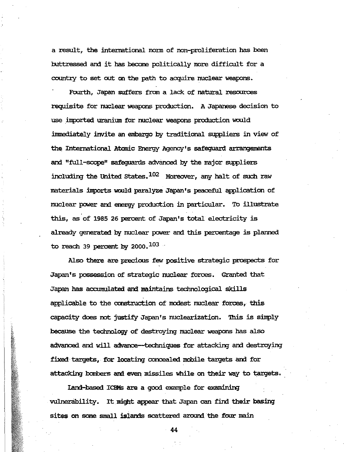a result, the international nom of non-proliferation has been buttressed and it has become politically more difficult for a country to set out on the path to acquire nuclear weapons.

Fourth, Japan suffers fran a lack of natural resources requisite for nuclear weapons production. A Japanese decision to use imported uranium for nuclear weapons production would immediately invite an embargo by traditional suppliers in view of the International Atomic Energy Agency's safeguard arrangements and "full-scope" safequards advanced by the major suppliers including the United States. $102$  Moreover, any halt of such raw materials imports would paralyze Japan's peaceful application of nuclear power and energy production in particular. To illustrate this, as of 1985 26 percent of Japan's total electricity is already generated by nuclear power and this percentage is planned to reach 39 percent by 2000.  $^{103}$ 

Also there are precious few positive strategic prospects for Japan's possession of strategic nuclear forces. Granted that Japan has accumulated and maintains technological skills applicable to the construction of modest nuclear forces, this capacity does not justify Japan's nuclearization. This is simply because the technology of destroying nuclear weapons has also advanced and will advance-techniques for attacking and destroying fixed targets, for locating concealed mobile targets and for attacking bombers and even missiles while on their way to targets.

land-based IClM3 are a good example for examining vulnerability. It might appear that Japan can find their basing sites on some small islands scattered around the four main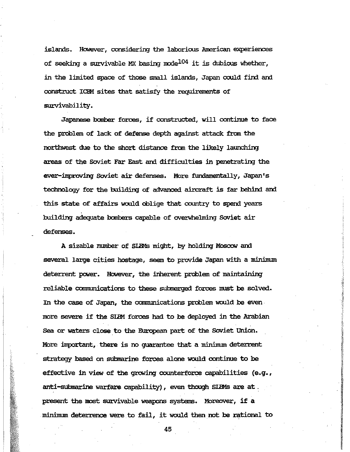islands. However, considering the laborious American experiences of seeking a survivable MX basing mode<sup>104</sup> it is dubious whether, in the limited space of those small islands, Japan could find and construct ICBM sites that satisfy the requirements of survivability.

Japanese bomber forces, if constructed, will continue to face the problem of lack of defense depth against attack from the northwest due to the short distance from the likely launching areas of the Soviet Far East and difficulties in penetrating the ever-improving Soviet air defenses. More fundamentally, Japan's technology for the building of advanced aircraft is far behind and this state of affairs would oblige that country to spend years building adequate bombers capable of overwhelming Soviet air defenses.

A sizable number of SIRMs might, by holding Moscow and several large cities hostage, seem to provide Japan with a minimum deterrent power. However, the inherent problem of maintaining reliable communications to these submerged forces must be solved. In the case of Japan, the communications problem would be even· more severe if the SLBM forces had to be deployed in the Arabian Sea or waters close to the European part of the Soviet Union. More important, there is no guarantee that a minimum deterrent strategy based on submarine forces alone would continue to be effective in view of the growing counterforce capabilities (e.g., anti-submarine warfare capability), even though SIBMs are at. present the most survivable weapons systems. Moreover, if a minimum deterrence were to fail, it would then not be rational to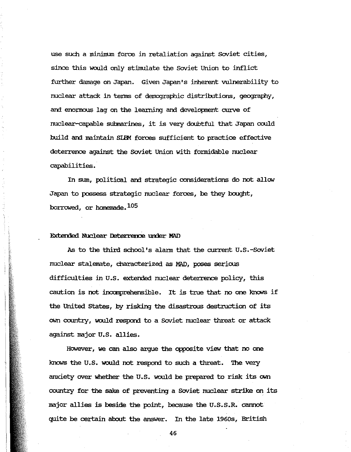use such a minimum force in retaliation against Soviet cities, since this would only stimulate the Soviet Union to inflict further damage on Japan. Given Japan's inherent vulnerability to nuclear attack in terms of demographic distributions, geography, and enormous lag on the learning and development curve of nuclear-capable submarines, it is very doubtful that Japan could build and maintain SIBM forces sufficient to practice effective deterrence against the Soviet Union with formidable nuclear capabilities.

In sum, political and strategic considerations do not allow Japan to possess strategic nuclear forces, be they bought, borrowed, or homemade.<sup>105</sup>

## Extended Nuclear Deterrence under MAD

As to the third school's alarm that the current U.S.-Soviet nuclear stalemate, characterized as MAD, poses serious difficulties in U.S. extended nuclear deterrence policy, this caution is not incomprehensible. It is true that no one knows if the United States, by risking the disastrous destruction of its own country, would respond to a Soviet nuclear threat or attack against major U.S. allies.

However, we can also argue the opposite view that no one knows the U.S. would not respond to such a threat. The very anxiety over whether the U.S. would be prepared to risk its own country for the sake of preventing a Soviet nuclear strike on its major allies is beside the point, because the U.S.S.R. cannot quite be certain about the answer. In the late 1960s, British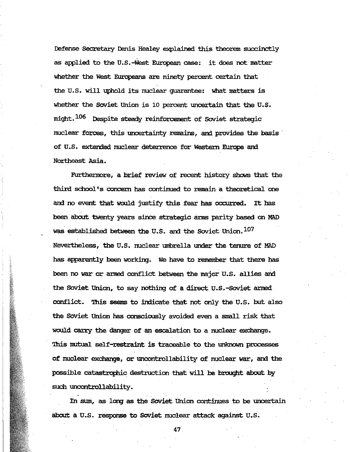Defense Secretary Denis Healey explained this theorem succinctly as applied to the U.S.-West European case: it does not matter whether the West Europeans are ninety percent certain that the U.S. will uphold its nuclear guarantee: what matters is whether the Soviet Union is 10 percent uncertain that the U.S. might. 106 Despite steady reinforcement of Soviet strategic nuclear forces, this uncertainty remains, and provides the basis· of U.S. extended nuclear deterrence for Western Europe and Northeast Asia.

Furthennore, a brief review of recent history shows that the third school's concern has continued to remain a theoretical one and no event that would justify this fear has occurred. It has been about twenty years since strategic arms parity based on MAD was established between the U.S. and the Soviet Union. 107 Nevertheless, the U.S. nuclear umbrella tmder the tenure of MAD has apparently been working. We have to remember that there has been no war or armed conflict between the major U.S. allies and the Soviet Union, to say nothing of a direct U.S.-Soviet armed. conflict. This seems to indicate that not only the U.S. but also the Soviet Union has consciously avoided even a small risk that would carry the danger of an escalation to a nuclear exchange. 'Ibis mutual self-restraint is traceable to the unknown processes of nuclear exchange, or uncontrollability of nuclear war, and the possible catastrophic destruction that will be brought about by such uncontrollability.

In sum, as long as the Soviet Union continues to be uncertain about a U.S. response to Soviet nuclear attack against U.S.

47.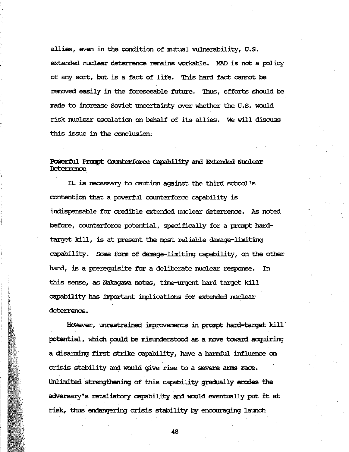allies, even in the condition of mutual vulnerability, U.5. extended nuclear deterrence remains workable. MAD is not a policy of any sort, but is a fact of life. This hard fact cannot be removed easily in the foreseeable future. Thus, efforts should be made to increase Soviet uncertainty over whether the U.5. would risk nuclear escalation on behalf of its allies. We will dismss this issue in the conclusion.

## Powerful Prompt Counterforce Capability and Extended Nuclear Deterrence

It is necessary to caution against the third school's contention that a powerful counterforce capability is indispensable for credible extended nuclear deterrence. As noted before, counterforce potential, specifically for a prompt hardtarget kill, is at present the most reliable damage-limiting capability. Some form of damage-limiting capability, on the other hand, is a prerequisite for a deliberate nuclear response. In this sense, as Nakagawa notes, time-urgent hard target kill capability has inportant implications for extended nuclear deterrence.

However, unrestrained improvements in prompt hard-target kill potential, which could be misunderstood as a move toward acquiring a disarming first strike capability, have a harmful influence on crisis stability and would give rise to a severe arms race. Unlimited strengthening of this capability gradually erodes the adversary's retaliatory capability and would eventually put it at risk, thus emangering crisis stability by encouraging launch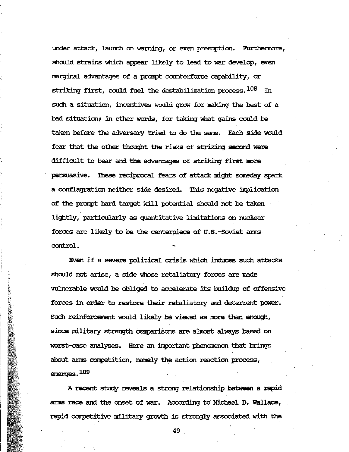under attack, launch on warning, or even preemption. Furthermore, shoold strains which appear likely to lead to war develop, even marginal advantages of a prompt counterforce capability, or striking first, could fuel the destabilization process.  $108$  In such a situation, incentives would grow for making the best of a bad situation; in other words, for taking what gains could be taken before the adversary tried to do the same. Fach side would fear that the other thought the risks of striking second were difficult to bear and the advantages of striking first more persuasive. 'lhese reciprocal fears of attack might saneday spark a conflagration neither side desired. This negative implication of the prompt hard target kill potential should not be taken lightly, particularly as quantitative limitations on nuclear forces are likely to be the centerpiece of U.S.-Soviet anns. **control.** <sup>~</sup>

Even if a severe political crisis which induces such attacks should not arise, a side whose retaliatory forces are made vulnerable would be obliged to accelerate its buildup of offensive forces in order to restore their retaliatory ani deterrent power. Such reinforcement would likely be viewed as more than enough, since military strength comparisons are almost always based on worst-case analyses. Here an :inportant phenomenon that brings about arms competition, namely the action reaction process,. emerges. 109

A recent study reveals a strong relationship between a rapid ams race ani the onset of war. According to Michael D. Wallace, rapid competitive military growth is strongly associated with the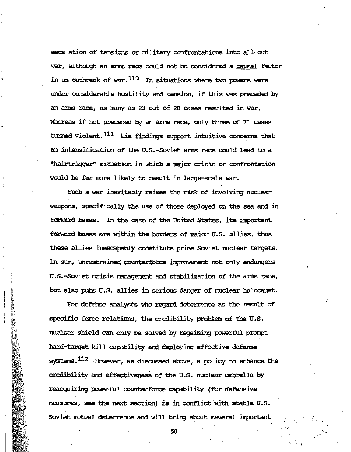escalation of tensions or military confrontations into all-out war, although an arms race could not be considered a causal factor in an outbreak of war. 110 In situations where two powers were under considerable hostility and tension, if this was preceded by an arms race, as many as 23 out of 28 cases resulted in war, whereas if not preceded by an arms race, only three of 71 cases turned violent.<sup>111</sup> His findings support intuitive concerns that an intensification of the U.S.-Soviet arms race could lead to a "hairtrigger" situation in which a major crisis or confrontation would be far more likely to result in large-scale war.

Such a war inevitably raises the risk of involving nuclear weapons, specifically the use of those deployed on the sea and in forward bases. In the case of the United States, its important forward bases are within the borders of major U.S. allies, thus these allies inescapably constitute prime Soviet nuclear targets. In sum, unrestrained counterforce improvement not only endangers U.S.-Soviet crisis management and stabilization of the arms race, but also puts U.S. allies in serious danger of nuclear holocaust.

For defense analysts who regard deterrence as the result of specific force relations, the credibility problem of the U.S. nuclear shield can only be solved by regaining powerful prompt hard-target kill capability and deploying effective defense systems.<sup>112</sup> However, as discussed above, a policy to enhance the credibility and effectiveness of the U.S. nuclear umbrella by reacquiring powerful counterforce capability (for defensive measures, see the next section) is in conflict with stable U.S.-Soviet mutual deterrence and will bring about several important

2000年の大学の大学の人気のある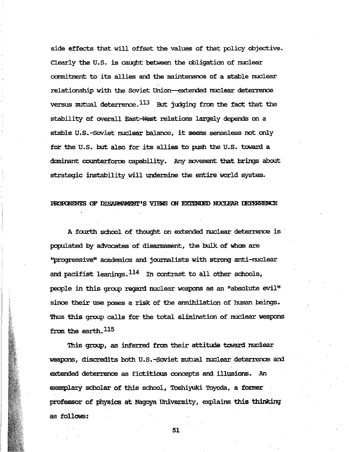side effects that will offset the values of that policy objective. Clearly the U.S. is caught between the obligation of nuclear commitment to its allies and the maintenance of a stable nuclear relationship with the Soviet Union-extended nuclear deterrence versus mutual deterrence.  $^{113}$  But judging from the fact that the stability of overall East-West relations largely depends on a stable U.S.-Soviet nuclear balance, it seems senseless not only for the U.S. but also for its allies to push the U.S. toward a dominant counterforoe capability. Any movement that brings about strategic instability will undermine the entire world system.

#### PROPONENTS OF DISARMAMENT'S VIEWS ON EXTENDED NUCLEAR DETERRENCE

A fourth school of thought on extended nuclear deterrence is populated by advocates of disamament, the bulk of whan are ''Progressive'' academics am jow:nalists with strong anti-nuclear and pacifist leanings. $^{114}$  In contrast to all other schools, people in this group regard nuclear weapons as an "absolute evil" since their use poses a risk of the annihilation of human beings. Thus this group calls for the total elimination of nuclear weapons from the earth.<sup>115</sup>

This group, as inferred from their attitude toward nuclear weapons, discredits both U.S.-Soviet mutual nuclear deterrence am extended deterrence as fictitious concepts am illusions. .An exemplary scholar of this school, Toshiyuki Toyoda, a former professor of physics at Nagoya University, explains this thinking as follows: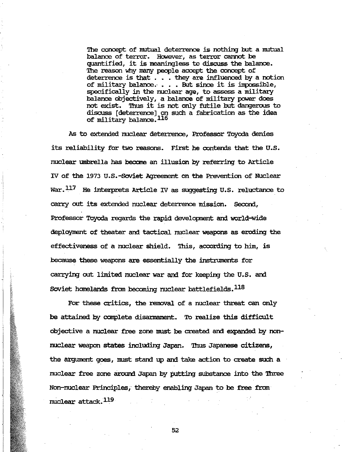The concept of mutual deterrence is nothing but a mutual balance of terror. However, as terror cannot be quantified, it is meaningless to discuss the balance. The reason why many people accept the concept of deterrence is that . . . they are influenced by a notion of military balance.  $\ldots$  But since it is impossible, specifically in the nuclear age, to assess a military balance objectively, a balance of military power does not exist. Thus it is not only futile but dangerous to discuss [deterrence] on such a fabrication as the idea of military balance.<sup>116</sup>

As to extended nuclear deterrence, Professor Toyoda denies its reliability for two reasons. First he contends that the U.S. nuclear umbrella has become an illusion by referring to Article IV of the 1973 U.S.-Soviet Agreement on the Prevention of Nuclear War.  $^{117}$  He interprets Article IV as suggesting U.S. reluctance to carry out its extended nuclear deterrence mission. Second, Professor Toyoda regards the rapid developnent and world-wide deployment of theater and tactical nuclear weapons as eroding the effectiveness of a nuclear shield. This, according to him, is because these weapons are essentially the instruments for carrying out limited nuclear war and for keeping the U.S. and Soviet homelands from becoming nuclear battlefields.<sup>118</sup>

For these critics, the removal of a nuclear threat can only be attained by complete disarmament. To realize this difficult objective a nuclear free zone must be created and expanded by nonnuclear weapon states including Japan. 'Ihus Japanese citizens, the argument goes, must stand up and take action to create such a nuclear free zone around Japan by putting substance into the Three Non-nuclear Principles, thereby enabling Japan to be free from nuclear attack.119

i i"i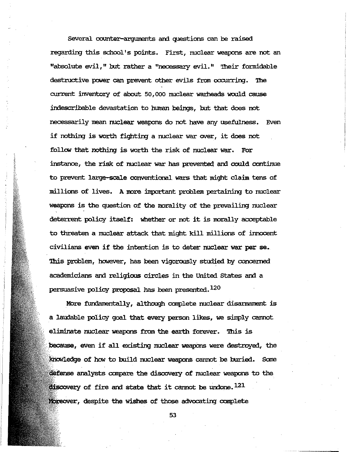several counter-axguments and questions can be raised regarding this school's points. First, nuclear weapons are not an "absolute evil," but rather a "necessary evil." Their formidable destructive power can prevent other evils from occurring. The current inventory of about 50,000 nuclear warheads would cause indescribable devastation to human beings, but that does not necessarily mean nuclear weapons do not have any usefulness. Even if nothing is worth fighting a nuclear war over, it does not follow that nothing is worth the risk of nuclear war. For instance, the risk of nuclear war has prevented and could continue to prevent large-scale conventional wars that might claim tens of millions of lives. A more important problem pertaining to nuclear weapons is the question of the morality of the prevailing nuclear deterrent policy itself: whether or not it is morally acceptable to threaten a nuclear attack that might kill millions of innocent civilians even if the intention is to deter nuclear war per se. '!his problem, however, has been vigorously studied by concerned academicians and religious circles in the United States and a persuasive policy proposal has been presented. $120$ 

More fundamentally, although complete nuclear disarmament is a laudable policy goal that every person likes, we simply cannot eliminate nuclear weapons from the earth forever. This is because, even if all existing nuclear weapons were destroyed, the Knowledge of how to build nuclear weapons cannot be buried. Some defense analysts compare the discovery of nuclear weapons to the discovery of fire and state that it cannot be undone.  $^{121}$ Moreover, despite the wishes of those advocating complete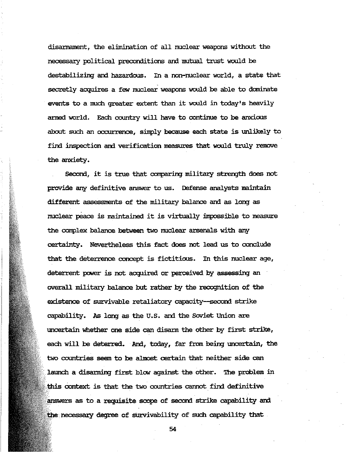disantament, the elimination of all nuclear weapons without the necessary political preconditions and mutual trust would be destabilizing and hazardous. In a non-nuclear world, a state that secretly acquires a few nuclear weapons would be able to dominate events to a much greater extent than it would in today's heavily armed world. Each country will have to continue to be anxious about such an occurrence, sinply because each state is unlikely to find inspection and verification measures that would truly remove the anxiety.

Second, it is true that comparing military strength does not provide any definitive answer to us. Defense analysts maintain different assessments of the military balance and as long as nuclear peace is maintained it is virtually impossible to measure the complex balance between two nuclear arsenals with any certainty. Nevertheless this fact does not lead us to conclude that the deterrence concept is fictitious. In this nuclear age, deterrent power is not acquired or perceived by assessing an overall military balance but rather by the recognition of the existence of survivable retaliatory capacity-second strike capability. As long as the U.5. and the Soviet Union are uncertain whether one side can disann the other by first strike, each will be deterred. And, today, far from being uncertain, the two countries seem to be almost certain that neither side can launch a disarming first blow against the other. The problem in this context is that the two countries cannot find definitive answers as to a requisite scope of second strike capability and necessary degree of survivability of such capability that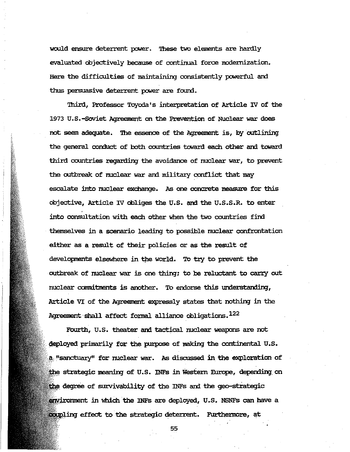would ensure deterrent power. These two elements are hardly evaluated objectively because of continual force modernization. Here the difficulties of maintaining consistently powerful and thus persuasive deterrent power are found.

Third, Professor Toyoda's interpretation of Article IV of the 1973 U.S.-Soviet Agreement on the Prevention of Nuclear war does not seem adequate. The essence of the Agreement is, by outlining the general conduct of both countries toward each other and toward third countries regarding the avoidance of nuclear war, to prevent the outbreak of nuclear war and military conflict that may escalate into nuclear exchange. As one concrete measure for this objective, Article IV obliges the U.S. and the U.S.S.R. to enter into consultation with each other when the two countries find themselves in a scenario leading to possible nuclear confrontation either as a result of their policies or as the result of developments elsewhere in the world. To try to prevent the outbreak of nuclear war is one thing; to be reluctant to carry out nuclear commitments is another. To endorse this understanding, Article VI of the Agreement expressly states that nothing in the Agreement shall affect formal alliance obligations. 122

Fourth, U.S. theater and tactical nuclear weapons are not deployed primarily for the purpose of making the continental U.S. a "sanctuary" for nuclear war. As discussed in the exploration of the strategic meaning of U.S. INFs in Western Europe, depending on the degree of survivability of the INFs and the geo-strategic environment in which the INFs are deployed, U.S. NSNFs can have a coupling effect to the strategic deterrent. Furthermore, at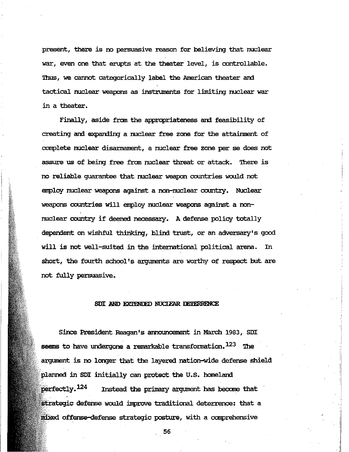present, there is no persuasive reason for believing that nuclear war, even one that erupts at the theater level, is controllable. Thus, we cannot categorically label the American theater and tactical nuclear weapons as instruments for limiting nuclear war in a theater.

Finally, aside from the appropriateness and feasibility of creating and expanding a nuclear free zone for the attainment of complete nuclear disannament, a nuclear free zone per se does not assure us of being free fran nuclear threat or attack. ihere is no reliable guarantee that nuclear weapon countries would not enploy nuclear weapons against a non-nuclear country. Nuclear weapons countries will enploy nuclear weapons against a nonnuclear country if deemed recessary. A defense policy totally dependent on wishful thinking, blind trust, or an adversary's good will is not well-suited in the international political arena. In short, the fourth school's arguments are worthy of respect but are not fully persuasive.

### SDI AND EXTENDED NUCLEAR DETERRENCE

Since President Reagan's announcement in March 1983, SDI seems to have undergone a remarkable transformation. $123$  The argument is no longer that the layered nation-wide defense shield planned in SDI initially can protect the U.S. homeland perfectly. $^{124}$  Instead the primary argument has become that strategic defense would improve traditional deterrence: that a offense-defense strategic posture, with a comprehensive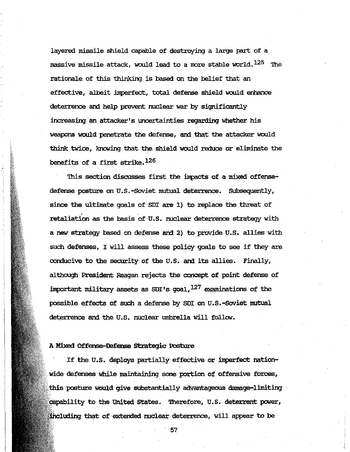layered missile shield capable of destroying a large part of a massive missile attack, would lead to a more stable world.  $^{125}$  The rationale of this thinking is based on the belief that an effective, albeit imperfect, total defense shield would enhance deterrence and help prevent nuclear war by significantly increasing an attacker's uncertainties regarding whether his weapons would penetrate the defense, and that the attacker would think twice, knowing that the shield would reduce or eliminate the benefits of a first strike.126

This section discusses first the impacts of a mixed offensedefense posture on U.S.-Soviet mutual deterrence. Subsequently, since the ultimate goals of SDI are 1) to replace the threat of retaliation as the basis of U.5. nuclear deterrence strategy with a new strategy based on defense and 2) to provide U.5. allies with such defenses, I will assess these policy goals to see if they are conducive to the security of the U.5. and its allies. Finally, although President Reagan rejects the concept of point defense of important military assets as SDI's goal,  $127$  examinations of the possible effects of such a defense by 5DI on U.5.-SOViet mutual deterrence and the U.S. nuclear umbrella will follow.

### A Mixed Offense-Defense **strategic** Posture

If the U.S. deploys partially effective or imperfect nationwide defenses while maintaining some portion of offensive forces, posture WOUld give substantially advantageous damage-limiting capability to the United States. Therefore, U.S. deterrent power, including that of extended nuclear deterrence, will appear to be .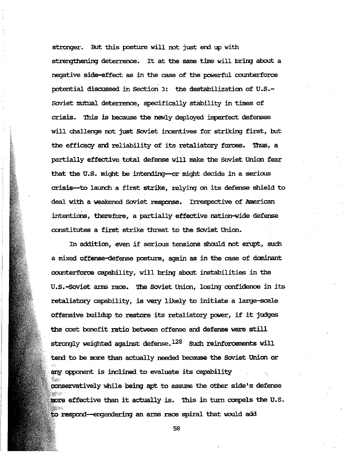stronger. But this posture will not just end up with strengthening deterrence. It at the same time will bring about a negative side-effect as in the case of the powerful counterforce potential discussed in Section 3: the destabilization of U.S.-Soviet mutual deterrence, specifically stability in times of crisis. This is because the newly deployed imperfect defenses will challenge not just Soviet incentives for striking first, but the efficacy and reliability of its retaliatory forces. Thus, a partially effective total defense will make the Soviet Union fear that the U.S. might be intending--or might decide in a serious crisis-to launch a first strike, relying on its defense shield to deal with a weakened Soviet response. Irrespective of American intentions, therefore, a partially effective nation-wide defense constitutes a first strike threat to the Soviet Union.

In addition, even if serious tensions should not erupt, such a mixed offense-defense posture, again as in the case of dominant counterforce capability, will bring about instabilities in the U.S.-Soviet arms race. The Soviet Union, losing confidence in its retaliatory capability, is very likely to initiate a large-scale offensive buildup to restore its retaliatory power, if it judges the cost benefit ratio between offense and defense were still strongly weighted against defense. $^{128}$  Such reinforcements will tend to be more than actually needed because the Soviet Union or any opponent is inclined to evaluate its capability conservatively while being apt to assume the other side's defense more effective than it actually is. This in turn compels the U.S. to respond—engendering an arms race spiral that would add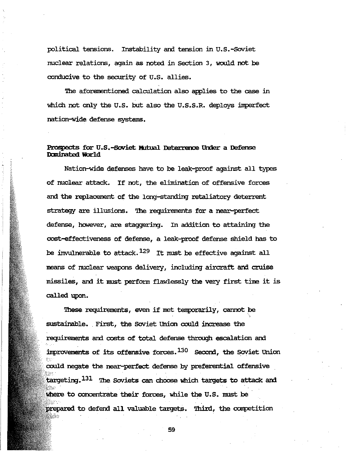political tensions. Instability and tension in U.S.-Soviet nuclear relations, again as noted in Section 3, would not be conducive to the security of U.S. allies.

The aforementioned calculation also applies to the case in which not only the U.S. but also the U.S.S.R. deploys imperfect nation-wide defense systems.

# Prospects for U.S.-Soviet Mutual Deterrence Under a Defense Dominated World

Nation-wide defenses have to be leak-proof against all types of nuclear attack. If not, the elimination of offensive forces and the replacement of the long-standing retaliatory deterrent strategy are illusions. The requirements for a near-perfect defense, however, are staggering. In addition to attaining the cost-effectiveness of defense, a leak-proof defense shield has to be invulnerable to attack.  $^{129}$  It must be effective against all means of nuclear weapons delivery, including aircraft and cruise missiles, and it must perform flawlessly the very first time it is called upon.

These requirements, even if met temporarily, cannot be sustainable. First, the Soviet Union could increase the requirements and costs of total defense through escalation and improvements of its offensive forces.<sup>130</sup> Second, the Soviet Union could negate the near-perfect defense by preferential offensive targeting.<sup>131</sup> The Soviets can choose which targets to attack and where to concentrate their forces, while the U.S. must be prepared to defend all valuable targets. Third, the competition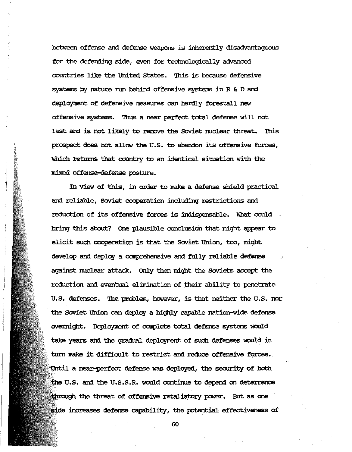between offense arx:l defense weapons is inherently disadvantageous for the defending side, even for technologically advanced ccxmtries like the United states. '!his is because defensive systems by nature run behind offensive systems in R & D and deployment of defensive neasures can hardly forestall new offensive systems. '!bus a near perfect total defense will not last and is not likely to remove the Soviet nuclear threat. This prospect does not allow the U.S. to abandon its offensive forces, which returns that country to an identical situation with the mixed offense defense posture.

 $\mathbb{R}$ 

In view of this, in order to make a defense shield practical and reliable, Soviet cooperation including restrictions and reduction' of its offensive forces is indispensable. What could bring this about? One plausible conclusion that might appear to elicit such cooperation is that the SoViet Union, too, might develop and deploy a comprehensive and fully reliable defense against nuclear attack. Only then might the Soviets accept the reduction and eventual elimination of their ability to penetrate U.S. defenses. The problem, however, is that neither the U.S. nor the SoViet Union can deploy a highly capable nation-wide defense overnight. Deployment of complete total defense systems would take years and the gradual deployment of such defenses would in turn make it difficult to restrict and reduce offensive forces. Until a near-perfect defense was deployed, the security of both the U.S. and the U.S.S.R. would continue to depend on deterrence through the threat of offensive retaliatory power. But as one increases defense capability, the potential effectiveness of